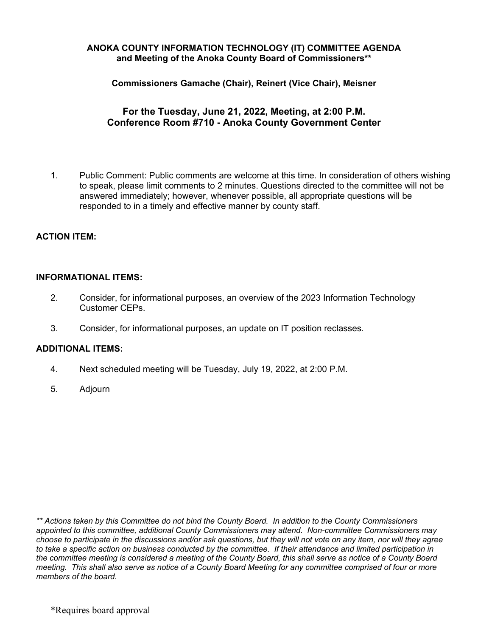#### **ANOKA COUNTY INFORMATION TECHNOLOGY (IT) COMMITTEE AGENDA and Meeting of the Anoka County Board of Commissioners\*\***

**Commissioners Gamache (Chair), Reinert (Vice Chair), Meisner** 

## **For the Tuesday, June 21, 2022, Meeting, at 2:00 P.M. Conference Room #710 - Anoka County Government Center**

1. Public Comment: Public comments are welcome at this time. In consideration of others wishing to speak, please limit comments to 2 minutes. Questions directed to the committee will not be answered immediately; however, whenever possible, all appropriate questions will be responded to in a timely and effective manner by county staff.

## **ACTION ITEM:**

#### **INFORMATIONAL ITEMS:**

- 2. Consider, for informational purposes, an overview of the 2023 Information Technology Customer CEPs.
- 3. Consider, for informational purposes, an update on IT position reclasses.

#### **ADDITIONAL ITEMS:**

- 4. Next scheduled meeting will be Tuesday, July 19, 2022, at 2:00 P.M.
- 5. Adjourn

*\*\* Actions taken by this Committee do not bind the County Board. In addition to the County Commissioners appointed to this committee, additional County Commissioners may attend. Non-committee Commissioners may choose to participate in the discussions and/or ask questions, but they will not vote on any item, nor will they agree*  to take a specific action on business conducted by the committee. If their attendance and limited participation in the committee meeting is considered a meeting of the County Board, this shall serve as notice of a County Board *meeting. This shall also serve as notice of a County Board Meeting for any committee comprised of four or more members of the board.*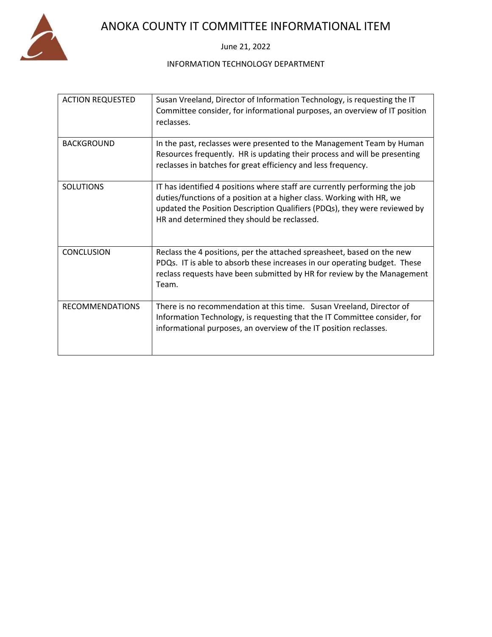

# ANOKA COUNTY IT COMMITTEE INFORMATIONAL ITEM

June 21, 2022

#### INFORMATION TECHNOLOGY DEPARTMENT

| <b>ACTION REQUESTED</b> | Susan Vreeland, Director of Information Technology, is requesting the IT<br>Committee consider, for informational purposes, an overview of IT position<br>reclasses.                                                                                                            |
|-------------------------|---------------------------------------------------------------------------------------------------------------------------------------------------------------------------------------------------------------------------------------------------------------------------------|
| <b>BACKGROUND</b>       | In the past, reclasses were presented to the Management Team by Human<br>Resources frequently. HR is updating their process and will be presenting<br>reclasses in batches for great efficiency and less frequency.                                                             |
| <b>SOLUTIONS</b>        | IT has identified 4 positions where staff are currently performing the job<br>duties/functions of a position at a higher class. Working with HR, we<br>updated the Position Description Qualifiers (PDQs), they were reviewed by<br>HR and determined they should be reclassed. |
| <b>CONCLUSION</b>       | Reclass the 4 positions, per the attached spreasheet, based on the new<br>PDQs. IT is able to absorb these increases in our operating budget. These<br>reclass requests have been submitted by HR for review by the Management<br>Team.                                         |
| <b>RECOMMENDATIONS</b>  | There is no recommendation at this time. Susan Vreeland, Director of<br>Information Technology, is requesting that the IT Committee consider, for<br>informational purposes, an overview of the IT position reclasses.                                                          |